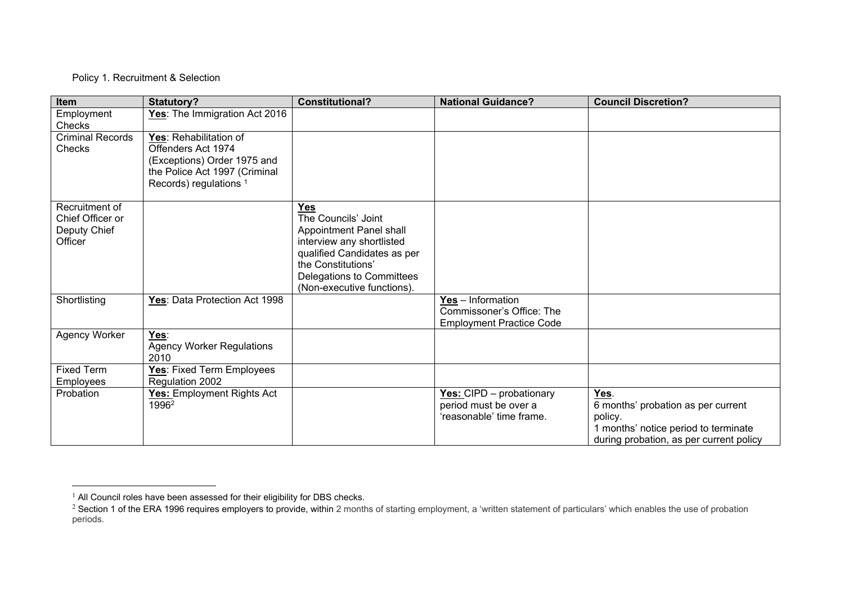## Policy 1. Recruitment & Selection

| Item                                                          | Statutory?                                                                                                                                        | <b>Constitutional?</b>                                                                                                                                                                                    | <b>National Guidance?</b>                                                         | <b>Council Discretion?</b>                                                                                                               |
|---------------------------------------------------------------|---------------------------------------------------------------------------------------------------------------------------------------------------|-----------------------------------------------------------------------------------------------------------------------------------------------------------------------------------------------------------|-----------------------------------------------------------------------------------|------------------------------------------------------------------------------------------------------------------------------------------|
| Employment<br>Checks                                          | Yes: The Immigration Act 2016                                                                                                                     |                                                                                                                                                                                                           |                                                                                   |                                                                                                                                          |
| <b>Criminal Records</b><br>Checks                             | Yes: Rehabilitation of<br>Offenders Act 1974<br>(Exceptions) Order 1975 and<br>the Police Act 1997 (Criminal<br>Records) regulations <sup>1</sup> |                                                                                                                                                                                                           |                                                                                   |                                                                                                                                          |
| Recruitment of<br>Chief Officer or<br>Deputy Chief<br>Officer |                                                                                                                                                   | <b>Yes</b><br>The Councils' Joint<br>Appointment Panel shall<br>interview any shortlisted<br>qualified Candidates as per<br>the Constitutions'<br>Delegations to Committees<br>(Non-executive functions). |                                                                                   |                                                                                                                                          |
| Shortlisting                                                  | Yes: Data Protection Act 1998                                                                                                                     |                                                                                                                                                                                                           | Yes - Information<br>Commissoner's Office: The<br><b>Employment Practice Code</b> |                                                                                                                                          |
| Agency Worker                                                 | Yes:<br><b>Agency Worker Regulations</b><br>2010                                                                                                  |                                                                                                                                                                                                           |                                                                                   |                                                                                                                                          |
| <b>Fixed Term</b><br>Employees                                | Yes: Fixed Term Employees<br>Regulation 2002                                                                                                      |                                                                                                                                                                                                           |                                                                                   |                                                                                                                                          |
| Probation                                                     | Yes: Employment Rights Act<br>1996 <sup>2</sup>                                                                                                   |                                                                                                                                                                                                           | Yes: CIPD - probationary<br>period must be over a<br>'reasonable' time frame.     | Yes.<br>6 months' probation as per current<br>policy.<br>1 months' notice period to terminate<br>during probation, as per current policy |

 $<sup>1</sup>$  All Council roles have been assessed for their eligibility for DBS checks.</sup>

<sup>&</sup>lt;sup>2</sup> Section 1 of the ERA 1996 requires employers to provide, within 2 months of starting employment, a 'written statement of particulars' which enables the use of probation periods.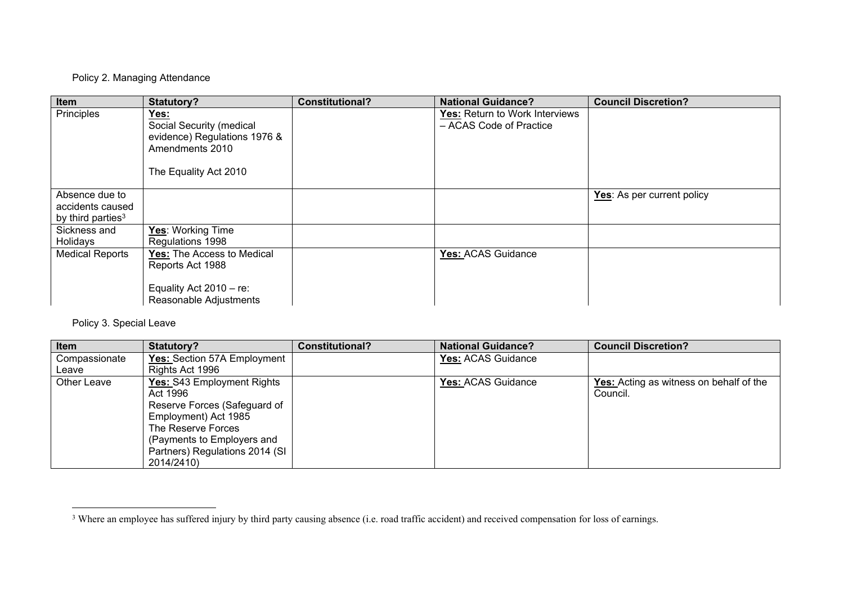## Policy 2. Managing Attendance

| Item                                                                | Statutory?                                                                                                   | <b>Constitutional?</b> | <b>National Guidance?</b>                                 | <b>Council Discretion?</b> |
|---------------------------------------------------------------------|--------------------------------------------------------------------------------------------------------------|------------------------|-----------------------------------------------------------|----------------------------|
| Principles                                                          | Yes:<br>Social Security (medical<br>evidence) Regulations 1976 &<br>Amendments 2010<br>The Equality Act 2010 |                        | Yes: Return to Work Interviews<br>- ACAS Code of Practice |                            |
| Absence due to<br>accidents caused<br>by third parties <sup>3</sup> |                                                                                                              |                        |                                                           | Yes: As per current policy |
| Sickness and<br>Holidays                                            | Yes: Working Time<br>Regulations 1998                                                                        |                        |                                                           |                            |
| <b>Medical Reports</b>                                              | Yes: The Access to Medical<br>Reports Act 1988                                                               |                        | Yes: ACAS Guidance                                        |                            |
|                                                                     | Equality Act $2010 - re$ :<br>Reasonable Adjustments                                                         |                        |                                                           |                            |

Policy 3. Special Leave

| Item          | <b>Statutory?</b>              | <b>Constitutional?</b> | <b>National Guidance?</b> | <b>Council Discretion?</b>                     |
|---------------|--------------------------------|------------------------|---------------------------|------------------------------------------------|
| Compassionate | Yes: Section 57A Employment    |                        | Yes: ACAS Guidance        |                                                |
| Leave         | Rights Act 1996                |                        |                           |                                                |
| Other Leave   | Yes: S43 Employment Rights     |                        | Yes: ACAS Guidance        | <b>Yes:</b> Acting as witness on behalf of the |
|               | Act 1996                       |                        |                           | Council.                                       |
|               | Reserve Forces (Safeguard of   |                        |                           |                                                |
|               | Employment) Act 1985           |                        |                           |                                                |
|               | The Reserve Forces             |                        |                           |                                                |
|               | (Payments to Employers and     |                        |                           |                                                |
|               | Partners) Regulations 2014 (SI |                        |                           |                                                |
|               | 2014/2410)                     |                        |                           |                                                |

<sup>&</sup>lt;sup>3</sup> Where an employee has suffered injury by third party causing absence (i.e. road traffic accident) and received compensation for loss of earnings.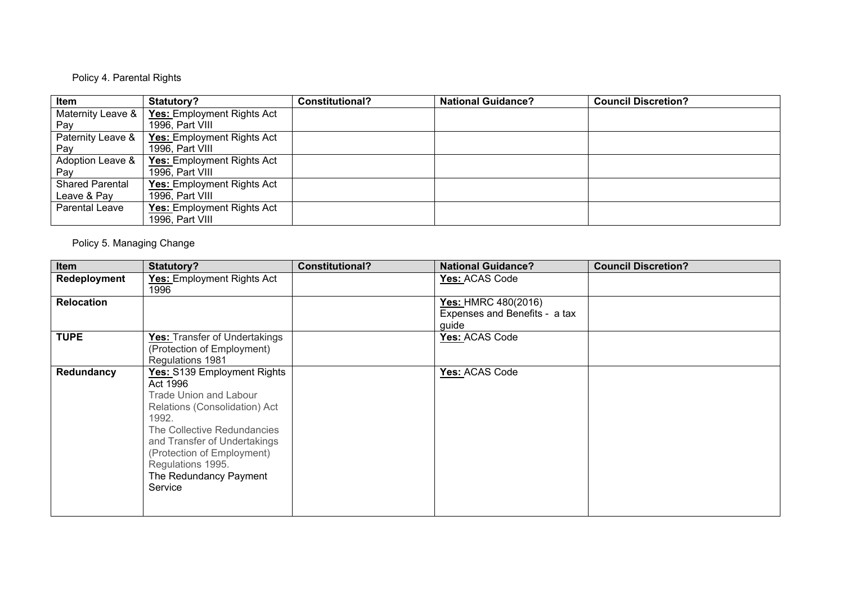# Policy 4. Parental Rights

| Item                   | Statutory?                        | <b>Constitutional?</b> | <b>National Guidance?</b> | <b>Council Discretion?</b> |
|------------------------|-----------------------------------|------------------------|---------------------------|----------------------------|
| Maternity Leave &      | Yes: Employment Rights Act        |                        |                           |                            |
| Pay                    | 1996, Part VIII                   |                        |                           |                            |
| Paternity Leave &      | <b>Yes:</b> Employment Rights Act |                        |                           |                            |
| Pav                    | 1996, Part VIII                   |                        |                           |                            |
| Adoption Leave &       | <b>Yes: Employment Rights Act</b> |                        |                           |                            |
| Pay                    | 1996, Part VIII                   |                        |                           |                            |
| <b>Shared Parental</b> | <b>Yes: Employment Rights Act</b> |                        |                           |                            |
| Leave & Pay            | 1996, Part VIII                   |                        |                           |                            |
| Parental Leave         | Yes: Employment Rights Act        |                        |                           |                            |
|                        | 1996, Part VIII                   |                        |                           |                            |

Policy 5. Managing Change

| Item              | Statutory?                                                                                                                                                                                                                                                                | <b>Constitutional?</b> | <b>National Guidance?</b>                                            | <b>Council Discretion?</b> |
|-------------------|---------------------------------------------------------------------------------------------------------------------------------------------------------------------------------------------------------------------------------------------------------------------------|------------------------|----------------------------------------------------------------------|----------------------------|
| Redeployment      | Yes: Employment Rights Act<br>1996                                                                                                                                                                                                                                        |                        | Yes: ACAS Code                                                       |                            |
| <b>Relocation</b> |                                                                                                                                                                                                                                                                           |                        | <b>Yes: HMRC 480(2016)</b><br>Expenses and Benefits - a tax<br>guide |                            |
| <b>TUPE</b>       | Yes: Transfer of Undertakings<br>(Protection of Employment)<br>Regulations 1981                                                                                                                                                                                           |                        | Yes: ACAS Code                                                       |                            |
| Redundancy        | Yes: S139 Employment Rights<br>Act 1996<br><b>Trade Union and Labour</b><br>Relations (Consolidation) Act<br>1992.<br>The Collective Redundancies<br>and Transfer of Undertakings<br>(Protection of Employment)<br>Regulations 1995.<br>The Redundancy Payment<br>Service |                        | Yes: ACAS Code                                                       |                            |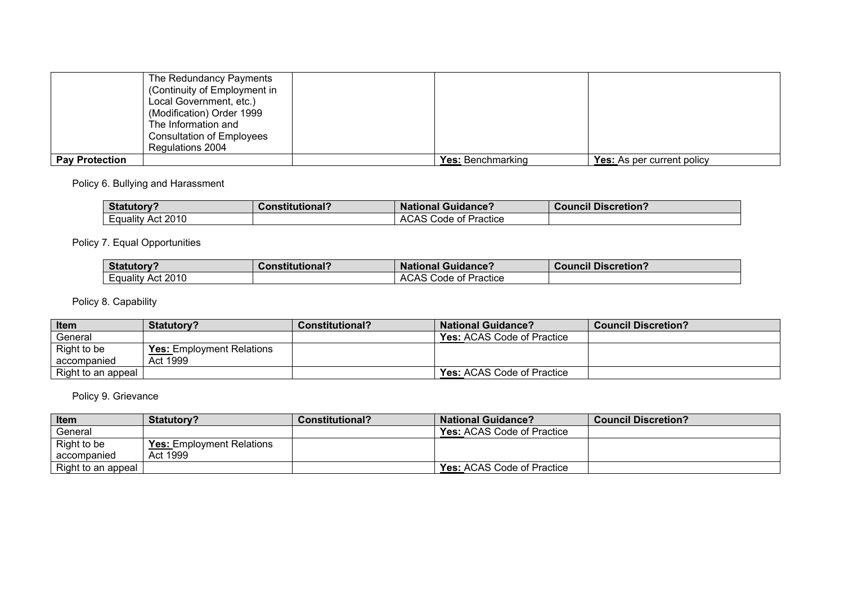|                       | The Redundancy Payments<br>(Continuity of Employment in<br>Local Government, etc.)<br>(Modification) Order 1999<br>The Information and<br><b>Consultation of Employees</b> |                          |                                   |
|-----------------------|----------------------------------------------------------------------------------------------------------------------------------------------------------------------------|--------------------------|-----------------------------------|
|                       | Regulations 2004                                                                                                                                                           |                          |                                   |
| <b>Pay Protection</b> |                                                                                                                                                                            | <b>Yes: Benchmarking</b> | <b>Yes:</b> As per current policy |

Policy 6. Bullying and Harassment

| <b>Statutory?</b>     | <b>Constitutional?</b> | <b>National Guidance?</b>    | <b>Council Discretion?</b> |
|-----------------------|------------------------|------------------------------|----------------------------|
| Act 2010<br>∟quality∟ |                        | <b>ACAS Code of Practice</b> |                            |

Policy 7. Equal Opportunities

| <b>Statutory?</b>    | <b>Constitutional?</b> | <b>National Guidance?</b>            | <b>Council Discretion?</b> |
|----------------------|------------------------|--------------------------------------|----------------------------|
| Act 2010<br>Equality |                        | Code of Practice<br>$\cdots$<br>AUAO |                            |

Policy 8. Capability

| <b>Item</b>        | <b>Statutory?</b>         | <b>Constitutional?</b> | <b>National Guidance?</b>         | <b>Council Discretion?</b> |
|--------------------|---------------------------|------------------------|-----------------------------------|----------------------------|
| General            |                           |                        | <b>Yes:</b> ACAS Code of Practice |                            |
| Right to be        | Yes: Employment Relations |                        |                                   |                            |
| accompanied        | Act 1999                  |                        |                                   |                            |
| Right to an appeal |                           |                        | <b>Yes: ACAS Code of Practice</b> |                            |

# Policy 9. Grievance

| Item               | <b>Statutory?</b>                | <b>Constitutional?</b> | <b>National Guidance?</b>         | <b>Council Discretion?</b> |
|--------------------|----------------------------------|------------------------|-----------------------------------|----------------------------|
| General            |                                  |                        | <b>Yes: ACAS Code of Practice</b> |                            |
| Right to be        | <b>Yes:</b> Employment Relations |                        |                                   |                            |
| accompanied        | Act 1999                         |                        |                                   |                            |
| Right to an appeal |                                  |                        | <b>Yes: ACAS Code of Practice</b> |                            |